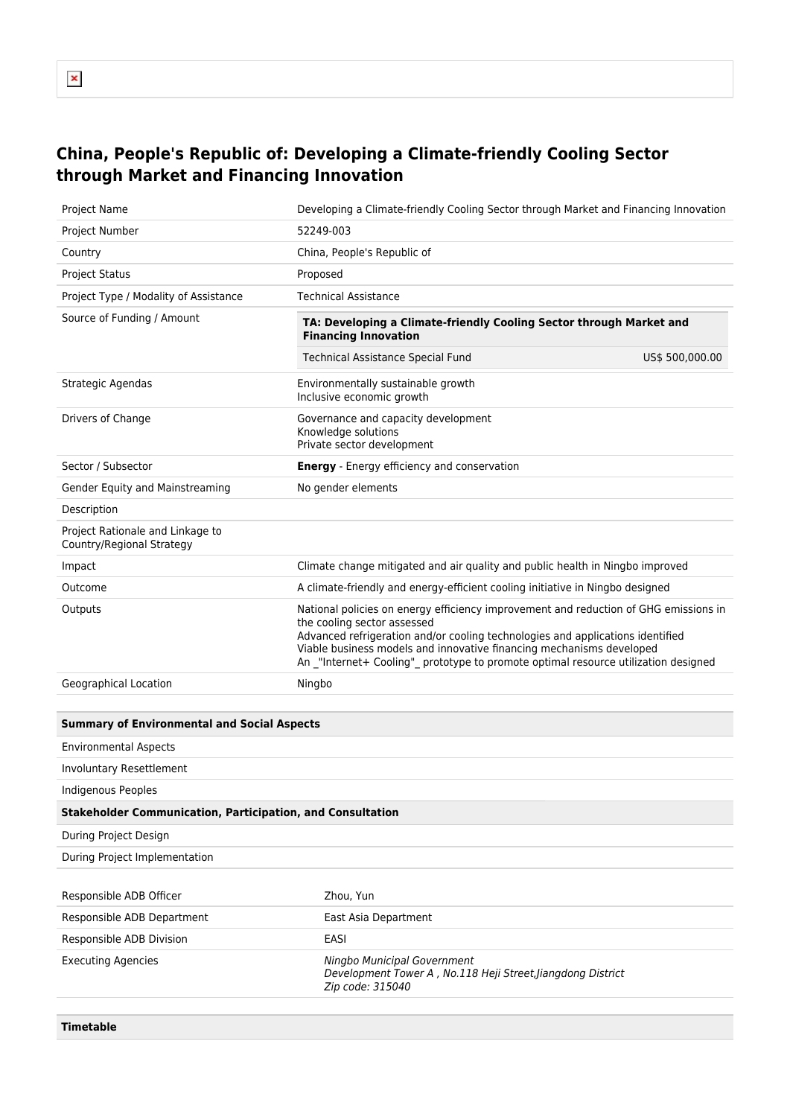## **China, People's Republic of: Developing a Climate-friendly Cooling Sector through Market and Financing Innovation**

| Project Name                                                      | Developing a Climate-friendly Cooling Sector through Market and Financing Innovation                                                                                                                                                                                                                                                                                 |  |
|-------------------------------------------------------------------|----------------------------------------------------------------------------------------------------------------------------------------------------------------------------------------------------------------------------------------------------------------------------------------------------------------------------------------------------------------------|--|
| Project Number                                                    | 52249-003                                                                                                                                                                                                                                                                                                                                                            |  |
| Country                                                           | China, People's Republic of                                                                                                                                                                                                                                                                                                                                          |  |
| <b>Project Status</b>                                             | Proposed                                                                                                                                                                                                                                                                                                                                                             |  |
| Project Type / Modality of Assistance                             | <b>Technical Assistance</b>                                                                                                                                                                                                                                                                                                                                          |  |
| Source of Funding / Amount                                        | TA: Developing a Climate-friendly Cooling Sector through Market and<br><b>Financing Innovation</b>                                                                                                                                                                                                                                                                   |  |
|                                                                   | <b>Technical Assistance Special Fund</b><br>US\$ 500,000.00                                                                                                                                                                                                                                                                                                          |  |
| Strategic Agendas                                                 | Environmentally sustainable growth<br>Inclusive economic growth                                                                                                                                                                                                                                                                                                      |  |
| Drivers of Change                                                 | Governance and capacity development<br>Knowledge solutions<br>Private sector development                                                                                                                                                                                                                                                                             |  |
| Sector / Subsector                                                | <b>Energy</b> - Energy efficiency and conservation                                                                                                                                                                                                                                                                                                                   |  |
| Gender Equity and Mainstreaming                                   | No gender elements                                                                                                                                                                                                                                                                                                                                                   |  |
| Description                                                       |                                                                                                                                                                                                                                                                                                                                                                      |  |
| Project Rationale and Linkage to<br>Country/Regional Strategy     |                                                                                                                                                                                                                                                                                                                                                                      |  |
| Impact                                                            | Climate change mitigated and air quality and public health in Ningbo improved                                                                                                                                                                                                                                                                                        |  |
| Outcome                                                           | A climate-friendly and energy-efficient cooling initiative in Ningbo designed                                                                                                                                                                                                                                                                                        |  |
| Outputs                                                           | National policies on energy efficiency improvement and reduction of GHG emissions in<br>the cooling sector assessed<br>Advanced refrigeration and/or cooling technologies and applications identified<br>Viable business models and innovative financing mechanisms developed<br>An _"Internet+ Cooling"_ prototype to promote optimal resource utilization designed |  |
| Geographical Location                                             | Ningbo                                                                                                                                                                                                                                                                                                                                                               |  |
|                                                                   |                                                                                                                                                                                                                                                                                                                                                                      |  |
| <b>Summary of Environmental and Social Aspects</b>                |                                                                                                                                                                                                                                                                                                                                                                      |  |
| <b>Environmental Aspects</b>                                      |                                                                                                                                                                                                                                                                                                                                                                      |  |
| <b>Involuntary Resettlement</b>                                   |                                                                                                                                                                                                                                                                                                                                                                      |  |
| <b>Indigenous Peoples</b>                                         |                                                                                                                                                                                                                                                                                                                                                                      |  |
| <b>Stakeholder Communication, Participation, and Consultation</b> |                                                                                                                                                                                                                                                                                                                                                                      |  |
| During Project Design                                             |                                                                                                                                                                                                                                                                                                                                                                      |  |
| During Project Implementation                                     |                                                                                                                                                                                                                                                                                                                                                                      |  |
|                                                                   |                                                                                                                                                                                                                                                                                                                                                                      |  |
| Responsible ADB Officer                                           | Zhou, Yun                                                                                                                                                                                                                                                                                                                                                            |  |
| Responsible ADB Department                                        | East Asia Department                                                                                                                                                                                                                                                                                                                                                 |  |
| Responsible ADB Division                                          | <b>EASI</b>                                                                                                                                                                                                                                                                                                                                                          |  |
| <b>Executing Agencies</b>                                         | Ningbo Municipal Government<br>Development Tower A, No.118 Heji Street, Jiangdong District<br>Zip code: 315040                                                                                                                                                                                                                                                       |  |
|                                                                   |                                                                                                                                                                                                                                                                                                                                                                      |  |

**Timetable**